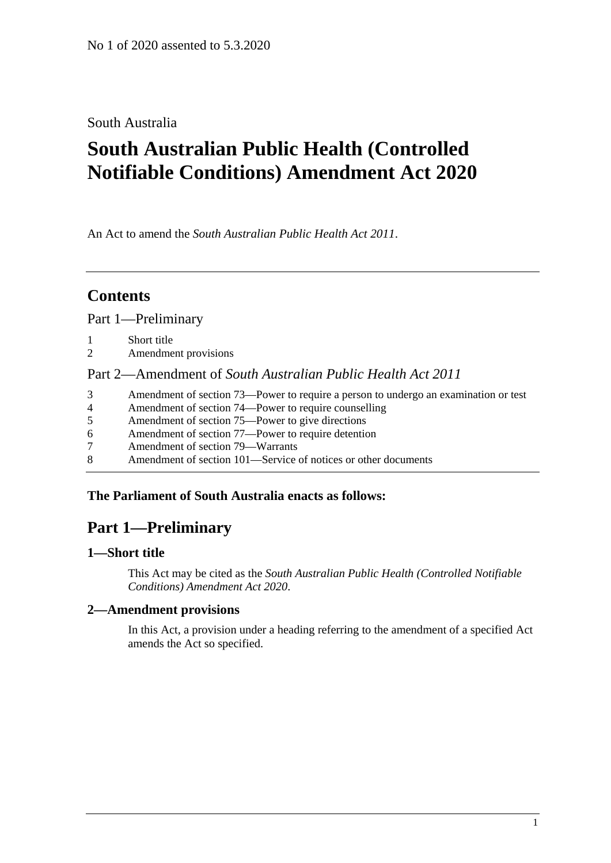## South Australia

# **South Australian Public Health (Controlled Notifiable Conditions) Amendment Act 2020**

An Act to amend the *[South Australian Public Health Act](http://www.legislation.sa.gov.au/index.aspx?action=legref&type=act&legtitle=South%20Australian%20Public%20Health%20Act%202011) 2011*.

# **Contents**

Part [1—Preliminary](#page-0-0)

- 1 [Short title](#page-0-1)
- 2 [Amendment provisions](#page-0-2)

# Part 2—Amendment of *[South Australian Public Health Act](#page-1-0) 2011*

- 3 [Amendment of section 73—Power to require a person to undergo an examination or test](#page-1-1)
- 4 [Amendment of section 74—Power to require counselling](#page-1-2)
- 5 [Amendment of section 75—Power to give directions](#page-1-3)
- 6 [Amendment of section 77—Power to require detention](#page-2-0)
- 7 [Amendment of section 79—Warrants](#page-4-0)
- 8 [Amendment of section 101—Service of notices or other documents](#page-4-1)

### <span id="page-0-0"></span>**The Parliament of South Australia enacts as follows:**

# **Part 1—Preliminary**

### <span id="page-0-1"></span>**1—Short title**

This Act may be cited as the *South Australian Public Health (Controlled Notifiable Conditions) Amendment Act 2020*.

### <span id="page-0-2"></span>**2—Amendment provisions**

In this Act, a provision under a heading referring to the amendment of a specified Act amends the Act so specified.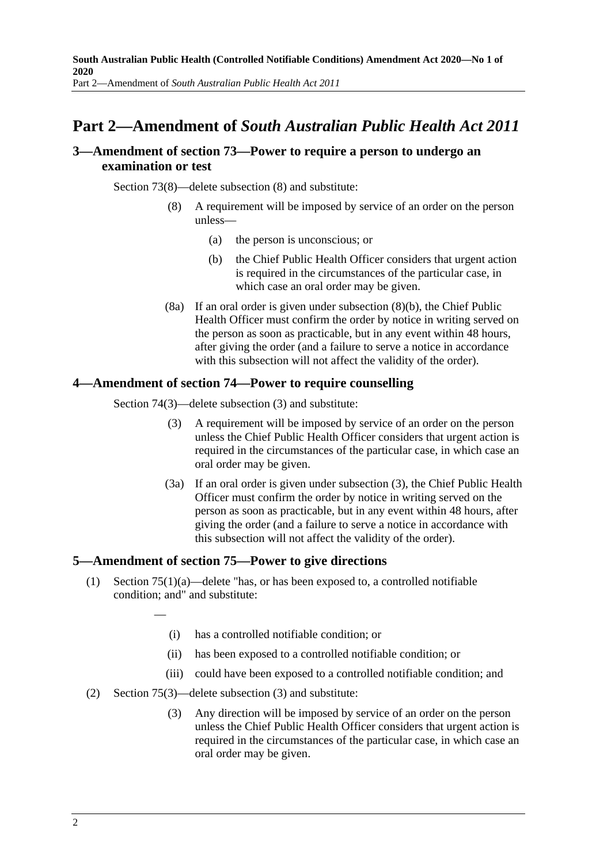# <span id="page-1-0"></span>**Part 2—Amendment of** *South Australian Public Health Act 2011*

### <span id="page-1-1"></span>**3—Amendment of section 73—Power to require a person to undergo an examination or test**

<span id="page-1-4"></span>Section 73(8)—delete subsection (8) and substitute:

- (8) A requirement will be imposed by service of an order on the person unless—
	- (a) the person is unconscious; or
	- (b) the Chief Public Health Officer considers that urgent action is required in the circumstances of the particular case, in which case an oral order may be given.
- (8a) If an oral order is given under [subsection](#page-1-4) (8)(b), the Chief Public Health Officer must confirm the order by notice in writing served on the person as soon as practicable, but in any event within 48 hours, after giving the order (and a failure to serve a notice in accordance with this subsection will not affect the validity of the order).

### <span id="page-1-5"></span><span id="page-1-2"></span>**4—Amendment of section 74—Power to require counselling**

Section 74(3)—delete subsection (3) and substitute:

- (3) A requirement will be imposed by service of an order on the person unless the Chief Public Health Officer considers that urgent action is required in the circumstances of the particular case, in which case an oral order may be given.
- (3a) If an oral order is given under [subsection](#page-1-5) (3), the Chief Public Health Officer must confirm the order by notice in writing served on the person as soon as practicable, but in any event within 48 hours, after giving the order (and a failure to serve a notice in accordance with this subsection will not affect the validity of the order).

### <span id="page-1-3"></span>**5—Amendment of section 75—Power to give directions**

- (1) Section 75(1)(a)—delete "has, or has been exposed to, a controlled notifiable condition; and" and substitute:
	- (i) has a controlled notifiable condition; or
	- (ii) has been exposed to a controlled notifiable condition; or
	- (iii) could have been exposed to a controlled notifiable condition; and
- <span id="page-1-6"></span>(2) Section 75(3)—delete subsection (3) and substitute:

—

(3) Any direction will be imposed by service of an order on the person unless the Chief Public Health Officer considers that urgent action is required in the circumstances of the particular case, in which case an oral order may be given.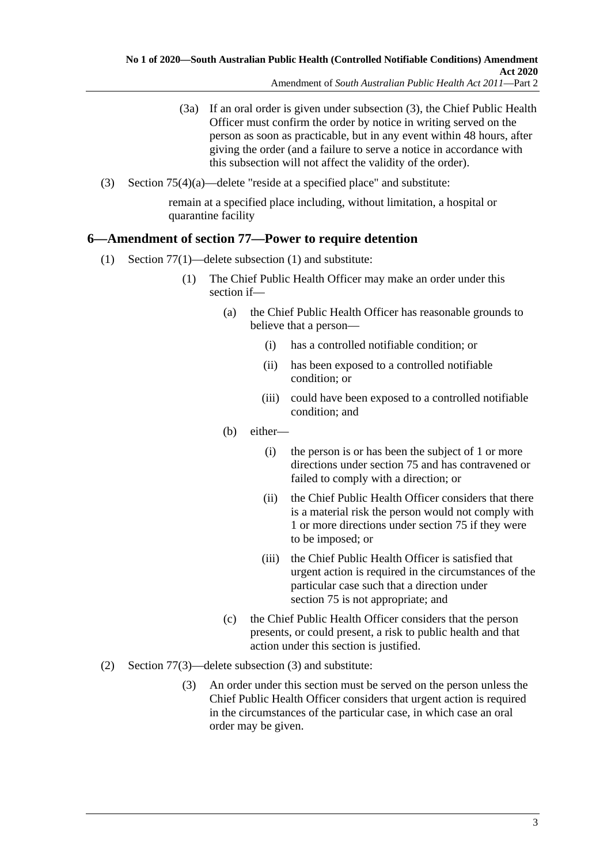- (3a) If an oral order is given under [subsection](#page-1-6) (3), the Chief Public Health Officer must confirm the order by notice in writing served on the person as soon as practicable, but in any event within 48 hours, after giving the order (and a failure to serve a notice in accordance with this subsection will not affect the validity of the order).
- (3) Section 75(4)(a)—delete "reside at a specified place" and substitute:

remain at a specified place including, without limitation, a hospital or quarantine facility

### <span id="page-2-0"></span>**6—Amendment of section 77—Power to require detention**

- (1) Section 77(1)—delete subsection (1) and substitute:
	- (1) The Chief Public Health Officer may make an order under this section if—
		- (a) the Chief Public Health Officer has reasonable grounds to believe that a person—
			- (i) has a controlled notifiable condition; or
			- (ii) has been exposed to a controlled notifiable condition; or
			- (iii) could have been exposed to a controlled notifiable condition; and
		- (b) either—
			- (i) the person is or has been the subject of 1 or more directions under section 75 and has contravened or failed to comply with a direction; or
			- (ii) the Chief Public Health Officer considers that there is a material risk the person would not comply with 1 or more directions under section 75 if they were to be imposed; or
			- (iii) the Chief Public Health Officer is satisfied that urgent action is required in the circumstances of the particular case such that a direction under section 75 is not appropriate; and
		- (c) the Chief Public Health Officer considers that the person presents, or could present, a risk to public health and that action under this section is justified.
- <span id="page-2-1"></span>(2) Section 77(3)—delete subsection (3) and substitute:
	- (3) An order under this section must be served on the person unless the Chief Public Health Officer considers that urgent action is required in the circumstances of the particular case, in which case an oral order may be given.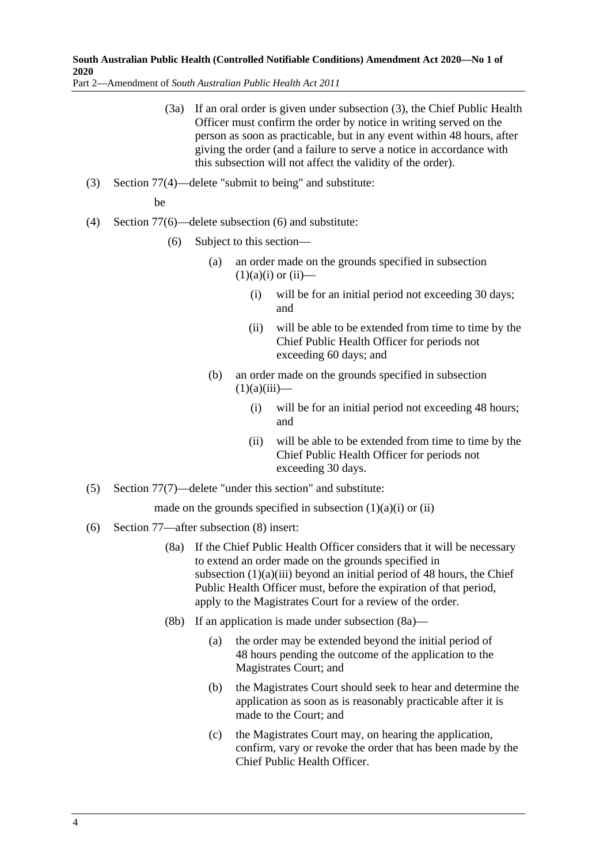Part 2—Amendment of *South Australian Public Health Act 2011*

- (3a) If an oral order is given under [subsection](#page-2-1) (3), the Chief Public Health Officer must confirm the order by notice in writing served on the person as soon as practicable, but in any event within 48 hours, after giving the order (and a failure to serve a notice in accordance with this subsection will not affect the validity of the order).
- (3) Section 77(4)—delete "submit to being" and substitute:

be

- (4) Section 77(6)—delete subsection (6) and substitute:
	- (6) Subject to this section
		- an order made on the grounds specified in subsection  $(1)(a)(i)$  or  $(ii)$ —
			- (i) will be for an initial period not exceeding 30 days; and
			- (ii) will be able to be extended from time to time by the Chief Public Health Officer for periods not exceeding 60 days; and
		- (b) an order made on the grounds specified in subsection  $(1)(a)(iii)$ —
			- (i) will be for an initial period not exceeding 48 hours; and
			- (ii) will be able to be extended from time to time by the Chief Public Health Officer for periods not exceeding 30 days.
- (5) Section 77(7)—delete "under this section" and substitute:

made on the grounds specified in subsection  $(1)(a)(i)$  or  $(ii)$ 

- <span id="page-3-0"></span>(6) Section 77—after subsection (8) insert:
	- (8a) If the Chief Public Health Officer considers that it will be necessary to extend an order made on the grounds specified in subsection  $(1)(a)(iii)$  beyond an initial period of 48 hours, the Chief Public Health Officer must, before the expiration of that period, apply to the Magistrates Court for a review of the order.
	- (8b) If an application is made under [subsection](#page-3-0) (8a)—
		- (a) the order may be extended beyond the initial period of 48 hours pending the outcome of the application to the Magistrates Court; and
		- (b) the Magistrates Court should seek to hear and determine the application as soon as is reasonably practicable after it is made to the Court; and
		- (c) the Magistrates Court may, on hearing the application, confirm, vary or revoke the order that has been made by the Chief Public Health Officer.